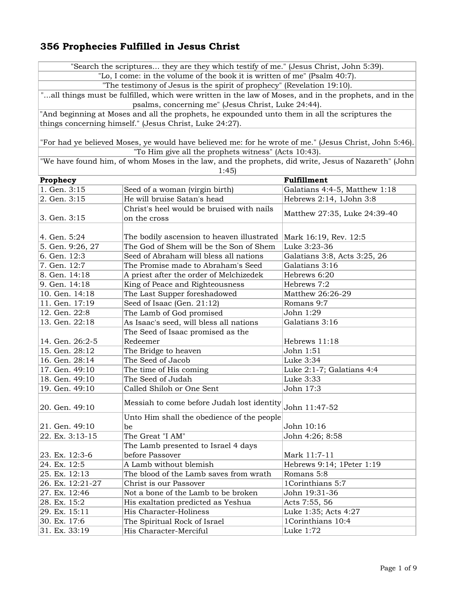"Search the scriptures... they are they which testify of me." (Jesus Christ, John 5:39).

"Lo, I come: in the volume of the book it is written of me" (Psalm 40:7).

"The testimony of Jesus is the spirit of prophecy" (Revelation 19:10).

"...all things must be fulfilled, which were written in the law of Moses, and in the prophets, and in the psalms, concerning me" (Jesus Christ, Luke 24:44).

"And beginning at Moses and all the prophets, he expounded unto them in all the scriptures the things concerning himself." (Jesus Christ, Luke 24:27).

"For had ye believed Moses, ye would have believed me: for he wrote of me." (Jesus Christ, John 5:46). "To Him give all the prophets witness" (Acts 10:43).

"We have found him, of whom Moses in the law, and the prophets, did write, Jesus of Nazareth" (John 1:45)

| Prophecy         |                                                                  | Fulfillment                   |
|------------------|------------------------------------------------------------------|-------------------------------|
| 1. Gen. 3:15     | Seed of a woman (virgin birth)                                   | Galatians 4:4-5, Matthew 1:18 |
| 2. Gen. 3:15     | He will bruise Satan's head                                      | Hebrews 2:14, 1John 3:8       |
|                  | Christ's heel would be bruised with nails                        | Matthew 27:35, Luke 24:39-40  |
| 3. Gen. 3:15     | on the cross                                                     |                               |
|                  |                                                                  |                               |
| 4. Gen. 5:24     | The bodily ascension to heaven illustrated Mark 16:19, Rev. 12:5 |                               |
| 5. Gen. 9:26, 27 | The God of Shem will be the Son of Shem                          | Luke 3:23-36                  |
| 6. Gen. 12:3     | Seed of Abraham will bless all nations                           | Galatians 3:8, Acts 3:25, 26  |
| 7. Gen. 12:7     | The Promise made to Abraham's Seed                               | Galatians 3:16                |
| 8. Gen. 14:18    | A priest after the order of Melchizedek                          | Hebrews 6:20                  |
| 9. Gen. 14:18    | King of Peace and Righteousness                                  | Hebrews 7:2                   |
| 10. Gen. 14:18   | The Last Supper foreshadowed                                     | Matthew 26:26-29              |
| 11. Gen. 17:19   | Seed of Isaac (Gen. 21:12)                                       | Romans 9:7                    |
| 12. Gen. 22:8    | The Lamb of God promised                                         | John 1:29                     |
| 13. Gen. 22:18   | As Isaac's seed, will bless all nations                          | Galatians 3:16                |
|                  | The Seed of Isaac promised as the                                |                               |
| 14. Gen. 26:2-5  | Redeemer                                                         | Hebrews 11:18                 |
| 15. Gen. 28:12   | The Bridge to heaven                                             | John 1:51                     |
| 16. Gen. 28:14   | The Seed of Jacob                                                | Luke 3:34                     |
| 17. Gen. 49:10   | The time of His coming                                           | Luke 2:1-7; Galatians 4:4     |
| 18. Gen. 49:10   | The Seed of Judah                                                | Luke 3:33                     |
| 19. Gen. 49:10   | Called Shiloh or One Sent                                        | John 17:3                     |
| 20. Gen. 49:10   | Messiah to come before Judah lost identity                       | John 11:47-52                 |
|                  | Unto Him shall the obedience of the people                       |                               |
| 21. Gen. 49:10   | be                                                               | John 10:16                    |
| 22. Ex. 3:13-15  | The Great "I AM"                                                 | John 4:26; 8:58               |
|                  | The Lamb presented to Israel 4 days                              |                               |
| 23. Ex. 12:3-6   | before Passover                                                  | Mark 11:7-11                  |
| 24. Ex. 12:5     | A Lamb without blemish                                           | Hebrews 9:14; 1Peter 1:19     |
| 25. Ex. 12:13    | The blood of the Lamb saves from wrath                           | Romans 5:8                    |
| 26. Ex. 12:21-27 | Christ is our Passover                                           | 1Corinthians 5:7              |
| 27. Ex. 12:46    | Not a bone of the Lamb to be broken                              | John 19:31-36                 |
| 28. Ex. 15:2     | His exaltation predicted as Yeshua                               | Acts 7:55, 56                 |
| 29. Ex. 15:11    | His Character-Holiness                                           | Luke 1:35; Acts 4:27          |
| 30. Ex. 17:6     | The Spiritual Rock of Israel                                     | 1Corinthians 10:4             |
| 31. Ex. 33:19    | His Character-Merciful                                           | Luke 1:72                     |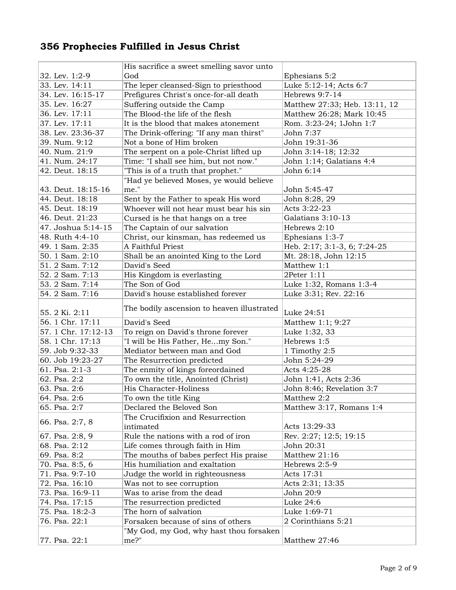|                     | His sacrifice a sweet smelling savor unto          |                               |
|---------------------|----------------------------------------------------|-------------------------------|
| 32. Lev. 1:2-9      | God                                                | Ephesians 5:2                 |
| 33. Lev. 14:11      | The leper cleansed-Sign to priesthood              | Luke 5:12-14; Acts 6:7        |
| 34. Lev. 16:15-17   | Prefigures Christ's once-for-all death             | Hebrews 9:7-14                |
| 35. Lev. 16:27      | Suffering outside the Camp                         | Matthew 27:33; Heb. 13:11, 12 |
| 36. Lev. 17:11      | The Blood-the life of the flesh                    | Matthew 26:28; Mark 10:45     |
| 37. Lev. 17:11      | It is the blood that makes atonement               | Rom. 3:23-24; 1John 1:7       |
| 38. Lev. 23:36-37   | The Drink-offering: "If any man thirst"            | John 7:37                     |
| 39. Num. 9:12       | Not a bone of Him broken                           | John 19:31-36                 |
| 40. Num. 21:9       | The serpent on a pole-Christ lifted up             | John 3:14-18; 12:32           |
| 41. Num. 24:17      | Time: "I shall see him, but not now."              | John 1:14; Galatians 4:4      |
| 42. Deut. 18:15     | "This is of a truth that prophet."                 | John 6:14                     |
|                     | "Had ye believed Moses, ye would believe           |                               |
| 43. Deut. 18:15-16  | me."                                               | John 5:45-47                  |
| 44. Deut. 18:18     | Sent by the Father to speak His word               | John 8:28, 29                 |
| 45. Deut. 18:19     | Whoever will not hear must bear his sin            | Acts 3:22-23                  |
| 46. Deut. 21:23     | Cursed is he that hangs on a tree                  | Galatians 3:10-13             |
| 47. Joshua 5:14-15  | The Captain of our salvation                       | Hebrews 2:10                  |
| 48. Ruth 4:4-10     | Christ, our kinsman, has redeemed us               | Ephesians 1:3-7               |
| 49. 1 Sam. 2:35     | A Faithful Priest                                  | Heb. 2:17; 3:1-3, 6; 7:24-25  |
| 50. 1 Sam. 2:10     | Shall be an anointed King to the Lord              | Mt. 28:18, John 12:15         |
| 51. 2 Sam. 7:12     | David's Seed                                       | Matthew 1:1                   |
| 52. 2 Sam. 7:13     | His Kingdom is everlasting                         | 2Peter 1:11                   |
| 53. 2 Sam. 7:14     | The Son of God                                     | Luke 1:32, Romans 1:3-4       |
| 54. 2 Sam. 7:16     | David's house established forever                  | Luke 3:31; Rev. 22:16         |
|                     |                                                    |                               |
|                     |                                                    |                               |
|                     | The bodily ascension to heaven illustrated         |                               |
| 55. 2 Ki. 2:11      |                                                    | Luke 24:51                    |
| 56. 1 Chr. 17:11    | David's Seed                                       | Matthew 1:1; 9:27             |
| 57. 1 Chr. 17:12-13 | To reign on David's throne forever                 | Luke 1:32, 33                 |
| 58. 1 Chr. 17:13    | "I will be His Father, Hemy Son."                  | Hebrews 1:5                   |
| 59. Job 9:32-33     | Mediator between man and God                       | 1 Timothy 2:5                 |
| 60. Job 19:23-27    | The Resurrection predicted                         | John 5:24-29                  |
| 61. Psa. 2:1-3      | The enmity of kings foreordained                   | Acts 4:25-28                  |
| 62. Psa. 2:2        | To own the title, Anointed (Christ)                | John 1:41, Acts 2:36          |
| 63. Psa. 2:6        | His Character-Holiness                             | John 8:46; Revelation 3:7     |
| 64. Psa. 2:6        | To own the title King                              | Matthew 2:2                   |
| 65. Psa. 2:7        | Declared the Beloved Son                           | Matthew 3:17, Romans 1:4      |
| 66. Psa. 2:7, 8     | The Crucifixion and Resurrection                   |                               |
|                     | intimated                                          | Acts 13:29-33                 |
| 67. Psa. 2:8, 9     | Rule the nations with a rod of iron                | Rev. 2:27; 12:5; 19:15        |
| 68. Psa. 2:12       | Life comes through faith in Him                    | John 20:31                    |
| 69. Psa. 8:2        | The mouths of babes perfect His praise             | Matthew 21:16                 |
| 70. Psa. 8:5, 6     | His humiliation and exaltation                     | Hebrews 2:5-9                 |
| 71. Psa. 9:7-10     | Judge the world in righteousness                   | Acts 17:31                    |
| 72. Psa. 16:10      | Was not to see corruption                          | Acts 2:31; 13:35              |
| 73. Psa. 16:9-11    | Was to arise from the dead                         | John 20:9                     |
| 74. Psa. 17:15      | The resurrection predicted                         | Luke 24:6                     |
| 75. Psa. 18:2-3     | The horn of salvation                              | Luke 1:69-71                  |
| 76. Psa. 22:1       | Forsaken because of sins of others                 | 2 Corinthians 5:21            |
| 77. Psa. 22:1       | "My God, my God, why hast thou forsaken<br>$me?$ " | Matthew 27:46                 |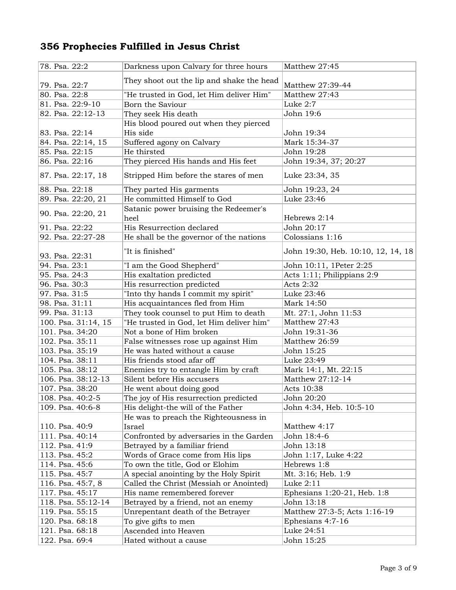| 78. Psa. 22:2       | Darkness upon Calvary for three hours         | Matthew 27:45                      |
|---------------------|-----------------------------------------------|------------------------------------|
|                     |                                               |                                    |
| 79. Psa. 22:7       | They shoot out the lip and shake the head     | Matthew 27:39-44                   |
| 80. Psa. 22:8       | "He trusted in God, let Him deliver Him"      | Matthew 27:43                      |
| 81. Psa. 22:9-10    | Born the Saviour                              | Luke 2:7                           |
| 82. Psa. 22:12-13   | They seek His death                           | John 19:6                          |
|                     | His blood poured out when they pierced        |                                    |
| 83. Psa. 22:14      | His side                                      | John 19:34                         |
| 84. Psa. 22:14, 15  | Suffered agony on Calvary                     | Mark 15:34-37                      |
| 85. Psa. 22:15      | He thirsted                                   | John 19:28                         |
| 86. Psa. 22:16      | They pierced His hands and His feet           | John 19:34, 37; 20:27              |
| 87. Psa. 22:17, 18  | Stripped Him before the stares of men         | Luke 23:34, 35                     |
| 88. Psa. 22:18      | They parted His garments                      | John 19:23, 24                     |
| 89. Psa. 22:20, 21  | He committed Himself to God                   | Luke 23:46                         |
| 90. Psa. 22:20, 21  | Satanic power bruising the Redeemer's<br>heel | Hebrews 2:14                       |
| 91. Psa. 22:22      | His Resurrection declared                     | John 20:17                         |
| 92. Psa. 22:27-28   | He shall be the governor of the nations       | Colossians 1:16                    |
| 93. Psa. 22:31      | "It is finished"                              | John 19:30, Heb. 10:10, 12, 14, 18 |
| 94. Psa. 23:1       | "I am the Good Shepherd"                      | John 10:11, 1Peter 2:25            |
| 95. Psa. 24:3       | His exaltation predicted                      | Acts 1:11; Philippians 2:9         |
| 96. Psa. 30:3       | His resurrection predicted                    | Acts 2:32                          |
| 97. Psa. 31:5       | "Into thy hands I commit my spirit"           | Luke 23:46                         |
| 98. Psa. 31:11      | His acquaintances fled from Him               | Mark 14:50                         |
| 99. Psa. 31:13      | They took counsel to put Him to death         | Mt. 27:1, John 11:53               |
| 100. Psa. 31:14, 15 | "He trusted in God, let Him deliver him"      | Matthew 27:43                      |
| 101. Psa. 34:20     | Not a bone of Him broken                      | John 19:31-36                      |
| 102. Psa. 35:11     | False witnesses rose up against Him           | Matthew 26:59                      |
| 103. Psa. 35:19     | He was hated without a cause                  | John 15:25                         |
| 104. Psa. 38:11     | His friends stood afar off                    | Luke 23:49                         |
| 105. Psa. 38:12     | Enemies try to entangle Him by craft          | Mark 14:1, Mt. 22:15               |
| 106. Psa. 38:12-13  | Silent before His accusers                    | Matthew 27:12-14                   |
| 107. Psa. 38:20     | He went about doing good                      | Acts 10:38                         |
| 108. Psa. 40:2-5    | The joy of His resurrection predicted         | John 20:20                         |
| 109. Psa. 40:6-8    | His delight-the will of the Father            | John 4:34, Heb. 10:5-10            |
|                     | He was to preach the Righteousness in         |                                    |
| 110. Psa. 40:9      | Israel                                        | Matthew 4:17                       |
| 111. Psa. 40:14     | Confronted by adversaries in the Garden       | John 18:4-6                        |
| 112. Psa. 41:9      | Betrayed by a familiar friend                 | John 13:18                         |
| 113. Psa. 45:2      | Words of Grace come from His lips             | John 1:17, Luke 4:22               |
| 114. Psa. 45:6      | To own the title, God or Elohim               | Hebrews 1:8                        |
| 115. Psa. 45:7      | A special anointing by the Holy Spirit        | Mt. 3:16; Heb. 1:9                 |
| 116. Psa. 45:7, 8   | Called the Christ (Messiah or Anointed)       | Luke 2:11                          |
| 117. Psa. 45:17     | His name remembered forever                   | Ephesians 1:20-21, Heb. 1:8        |
| 118. Psa. 55:12-14  | Betrayed by a friend, not an enemy            | John 13:18                         |
| 119. Psa. 55:15     | Unrepentant death of the Betrayer             | Matthew 27:3-5; Acts 1:16-19       |
| 120. Psa. 68:18     | To give gifts to men                          | Ephesians 4:7-16                   |
| 121. Psa. 68:18     | Ascended into Heaven                          | Luke 24:51                         |
| 122. Psa. 69:4      | Hated without a cause                         | John 15:25                         |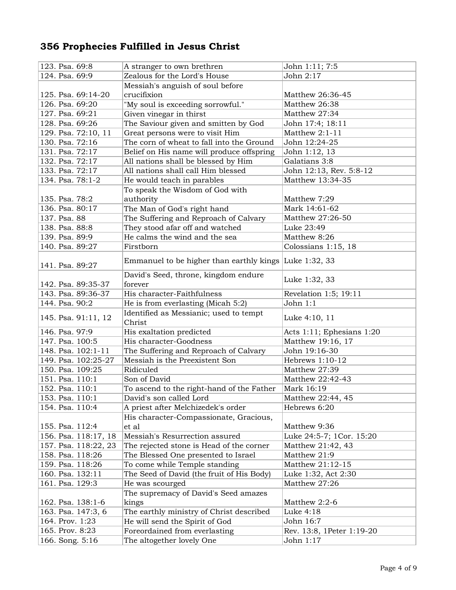| 123. Psa. 69:8       | A stranger to own brethren                             | John 1:11; 7:5            |
|----------------------|--------------------------------------------------------|---------------------------|
| 124. Psa. 69:9       | Zealous for the Lord's House                           | John 2:17                 |
|                      | Messiah's anguish of soul before                       |                           |
| 125. Psa. 69:14-20   | crucifixion                                            | Matthew 26:36-45          |
| 126. Psa. 69:20      | "My soul is exceeding sorrowful."                      | Matthew 26:38             |
| 127. Psa. 69:21      | Given vinegar in thirst                                | Matthew 27:34             |
| 128. Psa. 69:26      | The Saviour given and smitten by God                   | John 17:4; 18:11          |
| 129. Psa. 72:10, 11  | Great persons were to visit Him                        | Matthew 2:1-11            |
| 130. Psa. 72:16      | The corn of wheat to fall into the Ground              | John 12:24-25             |
| 131. Psa. 72:17      | Belief on His name will produce offspring              | John 1:12, 13             |
| 132. Psa. 72:17      | All nations shall be blessed by Him                    | Galatians 3:8             |
| 133. Psa. 72:17      | All nations shall call Him blessed                     | John 12:13, Rev. 5:8-12   |
| 134. Psa. 78:1-2     | He would teach in parables                             | Matthew 13:34-35          |
|                      | To speak the Wisdom of God with                        |                           |
| 135. Psa. 78:2       | authority                                              | Matthew 7:29              |
| 136. Psa. 80:17      | The Man of God's right hand                            | Mark 14:61-62             |
| 137. Psa. 88         | The Suffering and Reproach of Calvary                  | Matthew 27:26-50          |
| 138. Psa. 88:8       | They stood afar off and watched                        | Luke 23:49                |
| 139. Psa. 89:9       | He calms the wind and the sea                          | Matthew 8:26              |
| 140. Psa. 89:27      | Firstborn                                              | Colossians 1:15, 18       |
|                      |                                                        |                           |
| 141. Psa. 89:27      | Emmanuel to be higher than earthly kings Luke 1:32, 33 |                           |
| 142. Psa. 89:35-37   | David's Seed, throne, kingdom endure<br>forever        | Luke 1:32, 33             |
| 143. Psa. 89:36-37   | His character-Faithfulness                             | Revelation 1:5; 19:11     |
| 144. Psa. 90:2       | He is from everlasting (Micah 5:2)                     | John 1:1                  |
| 145. Psa. 91:11, 12  | Identified as Messianic; used to tempt<br>Christ       | Luke 4:10, 11             |
| 146. Psa. 97:9       | His exaltation predicted                               | Acts 1:11; Ephesians 1:20 |
| 147. Psa. 100:5      | His character-Goodness                                 | Matthew 19:16, 17         |
| 148. Psa. 102:1-11   | The Suffering and Reproach of Calvary                  | John 19:16-30             |
| 149. Psa. 102:25-27  | Messiah is the Preexistent Son                         | Hebrews 1:10-12           |
| 150. Psa. 109:25     | Ridiculed                                              | Matthew 27:39             |
| 151. Psa. 110:1      | Son of David                                           | Matthew 22:42-43          |
| 152. Psa. 110:1      | To ascend to the right-hand of the Father              | Mark 16:19                |
| 153. Psa. 110:1      | David's son called Lord                                | Matthew 22:44, 45         |
| 154. Psa. 110:4      | A priest after Melchizedek's order                     | Hebrews 6:20              |
|                      | His character-Compassionate, Gracious,                 |                           |
| 155. Psa. 112:4      | et al                                                  | Matthew 9:36              |
| 156. Psa. 118:17, 18 | Messiah's Resurrection assured                         | Luke 24:5-7; 1Cor. 15:20  |
| 157. Psa. 118:22, 23 | The rejected stone is Head of the corner               | Matthew 21:42, 43         |
| 158. Psa. 118:26     | The Blessed One presented to Israel                    | Matthew 21:9              |
| 159. Psa. 118:26     | To come while Temple standing                          | Matthew 21:12-15          |
| 160. Psa. 132:11     | The Seed of David (the fruit of His Body)              | Luke 1:32, Act 2:30       |
| 161. Psa. 129:3      | He was scourged                                        | Matthew 27:26             |
|                      | The supremacy of David's Seed amazes                   |                           |
| 162. Psa. 138:1-6    | kings                                                  | Matthew 2:2-6             |
| 163. Psa. 147:3, 6   | The earthly ministry of Christ described               | Luke 4:18                 |
| 164. Prov. 1:23      | He will send the Spirit of God                         | John 16:7                 |
| 165. Prov. 8:23      | Foreordained from everlasting                          | Rev. 13:8, 1Peter 1:19-20 |
| 166. Song. 5:16      | The altogether lovely One                              | John 1:17                 |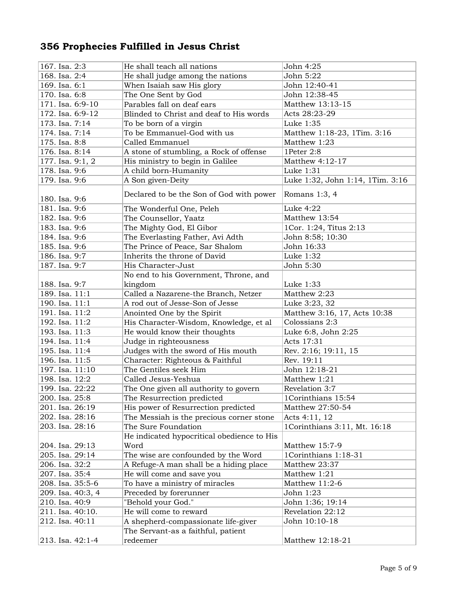| 167. Isa. 2:3     | He shall teach all nations                 | John 4:25                        |
|-------------------|--------------------------------------------|----------------------------------|
| 168. Isa. 2:4     | He shall judge among the nations           | John 5:22                        |
| 169. Isa. 6:1     | When Isaiah saw His glory                  | John 12:40-41                    |
| 170. Isa. 6:8     | The One Sent by God                        | John 12:38-45                    |
| 171. Isa. 6:9-10  | Parables fall on deaf ears                 | Matthew 13:13-15                 |
| 172. Isa. 6:9-12  | Blinded to Christ and deaf to His words    | Acts 28:23-29                    |
| 173. Isa. 7:14    | To be born of a virgin                     | Luke 1:35                        |
| 174. Isa. 7:14    | To be Emmanuel-God with us                 | Matthew 1:18-23, 1Tim. 3:16      |
| 175. Isa. 8:8     | Called Emmanuel                            | Matthew 1:23                     |
| 176. Isa. 8:14    | A stone of stumbling, a Rock of offense    | 1Peter 2:8                       |
| 177. Isa. 9:1, 2  | His ministry to begin in Galilee           | Matthew 4:12-17                  |
| 178. Isa. 9:6     | A child born-Humanity                      | Luke 1:31                        |
| 179. Isa. 9:6     | A Son given-Deity                          | Luke 1:32, John 1:14, 1Tim. 3:16 |
|                   |                                            |                                  |
| 180. Isa. 9:6     | Declared to be the Son of God with power   | Romans 1:3, 4                    |
| 181. Isa. 9:6     | The Wonderful One, Peleh                   | Luke 4:22                        |
| 182. Isa. 9:6     | The Counsellor, Yaatz                      | Matthew 13:54                    |
| 183. Isa. 9:6     | The Mighty God, El Gibor                   | 1Cor. 1:24, Titus 2:13           |
| 184. Isa. 9:6     | The Everlasting Father, Avi Adth           | John 8:58; 10:30                 |
| 185. Isa. 9:6     | The Prince of Peace, Sar Shalom            | John 16:33                       |
| 186. Isa. 9:7     | Inherits the throne of David               | Luke 1:32                        |
| 187. Isa. 9:7     | His Character-Just                         | John 5:30                        |
|                   | No end to his Government, Throne, and      |                                  |
| 188. Isa. 9:7     | kingdom                                    | Luke 1:33                        |
| 189. Isa. 11:1    | Called a Nazarene-the Branch, Netzer       | Matthew 2:23                     |
| 190. Isa. 11:1    | A rod out of Jesse-Son of Jesse            | Luke 3:23, 32                    |
| 191. Isa. 11:2    | Anointed One by the Spirit                 | Matthew 3:16, 17, Acts 10:38     |
| 192. Isa. 11:2    | His Character-Wisdom, Knowledge, et al     | Colossians 2:3                   |
| 193. Isa. 11:3    | He would know their thoughts               | Luke 6:8, John 2:25              |
| 194. Isa. 11:4    | Judge in righteousness                     | Acts 17:31                       |
| 195. Isa. 11:4    | Judges with the sword of His mouth         | Rev. 2:16; 19:11, 15             |
| 196. Isa. 11:5    | Character: Righteous & Faithful            | Rev. 19:11                       |
| 197. Isa. 11:10   | The Gentiles seek Him                      | John 12:18-21                    |
| 198. Isa. 12:2    | Called Jesus-Yeshua                        | Matthew 1:21                     |
| 199. Isa. 22:22   | The One given all authority to govern      | Revelation 3:7                   |
| 200. Isa. 25:8    | The Resurrection predicted                 | 1Corinthians 15:54               |
| 201. Isa. 26:19   | His power of Resurrection predicted        | Matthew 27:50-54                 |
| 202. Isa. 28:16   | The Messiah is the precious corner stone   | Acts 4:11, 12                    |
| 203. Isa. 28:16   | The Sure Foundation                        | 1Corinthians 3:11, Mt. 16:18     |
|                   | He indicated hypocritical obedience to His |                                  |
| 204. Isa. 29:13   | Word                                       | Matthew 15:7-9                   |
| 205. Isa. 29:14   | The wise are confounded by the Word        | 1Corinthians 1:18-31             |
| 206. Isa. 32:2    | A Refuge-A man shall be a hiding place     | Matthew 23:37                    |
| 207. Isa. 35:4    | He will come and save you                  | Matthew 1:21                     |
| 208. Isa. 35:5-6  | To have a ministry of miracles             | Matthew 11:2-6                   |
| 209. Isa. 40:3, 4 | Preceded by forerunner                     | John 1:23                        |
| 210. Isa. 40:9    | "Behold your God."                         | John 1:36; 19:14                 |
| 211. Isa. 40:10.  | He will come to reward                     | Revelation 22:12                 |
| 212. Isa. 40:11   | A shepherd-compassionate life-giver        | John 10:10-18                    |
|                   | The Servant-as a faithful, patient         |                                  |
| 213. Isa. 42:1-4  | redeemer                                   | Matthew 12:18-21                 |
|                   |                                            |                                  |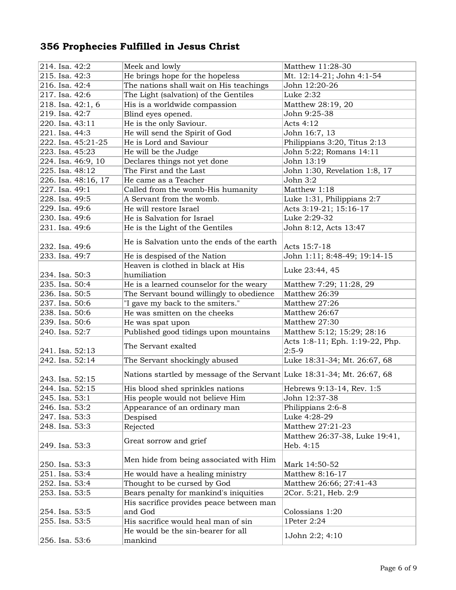| 214. Isa. 42:2                     | Meek and lowly                                                          | Matthew 11:28-30                |
|------------------------------------|-------------------------------------------------------------------------|---------------------------------|
| 215. Isa. 42:3                     | He brings hope for the hopeless                                         | Mt. 12:14-21; John 4:1-54       |
| 216. Isa. 42:4                     | The nations shall wait on His teachings                                 | John 12:20-26                   |
| 217. Isa. 42:6                     | The Light (salvation) of the Gentiles                                   | Luke 2:32                       |
| 218. Isa. 42:1, 6                  | His is a worldwide compassion                                           | Matthew 28:19, 20               |
| 219. Isa. 42:7                     | Blind eyes opened.                                                      | John 9:25-38                    |
| 220. Isa. 43:11                    | He is the only Saviour.                                                 | Acts 4:12                       |
| 221. Isa. 44:3                     | He will send the Spirit of God                                          | John 16:7, 13                   |
| 222. Isa. 45:21-25                 | He is Lord and Saviour                                                  | Philippians 3:20, Titus 2:13    |
| 223. Isa. 45:23                    | He will be the Judge                                                    | John 5:22; Romans 14:11         |
| 224. Isa. 46:9, 10                 | Declares things not yet done                                            | John 13:19                      |
| 225. Isa. 48:12                    | The First and the Last                                                  | John 1:30, Revelation 1:8, 17   |
| 226. Isa. 48:16, 17                | He came as a Teacher                                                    | John 3:2                        |
| 227. Isa. 49:1                     | Called from the womb-His humanity                                       | Matthew 1:18                    |
| 228. Isa. 49:5                     | A Servant from the womb.                                                | Luke 1:31, Philippians 2:7      |
| 229. Isa. 49:6                     | He will restore Israel                                                  | Acts 3:19-21; 15:16-17          |
| 230. Isa. 49:6                     | He is Salvation for Israel                                              | Luke 2:29-32                    |
| 231. Isa. 49:6                     | He is the Light of the Gentiles                                         | John 8:12, Acts 13:47           |
|                                    |                                                                         |                                 |
| 232. Isa. 49:6                     | He is Salvation unto the ends of the earth                              | Acts 15:7-18                    |
| 233. Isa. 49:7                     | He is despised of the Nation                                            | John 1:11; 8:48-49; 19:14-15    |
|                                    | Heaven is clothed in black at His                                       |                                 |
| 234. Isa. 50:3                     | humiliation                                                             | Luke 23:44, 45                  |
| 235. Isa. 50:4                     | He is a learned counselor for the weary                                 | Matthew 7:29; 11:28, 29         |
| 236. Isa. 50:5                     | The Servant bound willingly to obedience                                | Matthew 26:39                   |
|                                    |                                                                         | Matthew 27:26                   |
| 237. Isa. 50:6                     | "I gave my back to the smiters."<br>He was smitten on the cheeks        |                                 |
| 238. Isa. 50:6                     |                                                                         | Matthew 26:67                   |
| 239. Isa. 50:6                     | He was spat upon                                                        | Matthew 27:30                   |
| 240. Isa. 52:7                     | Published good tidings upon mountains                                   | Matthew 5:12; 15:29; 28:16      |
|                                    | The Servant exalted                                                     | Acts 1:8-11; Eph. 1:19-22, Php. |
| 241. Isa. 52:13<br>242. Isa. 52:14 |                                                                         | $2:5-9$                         |
|                                    | The Servant shockingly abused                                           | Luke 18:31-34; Mt. 26:67, 68    |
| 243. Isa. 52:15                    | Nations startled by message of the Servant Luke 18:31-34; Mt. 26:67, 68 |                                 |
| 244. Isa. 52:15                    | His blood shed sprinkles nations                                        | Hebrews 9:13-14, Rev. 1:5       |
| 245. Isa. 53:1                     | His people would not believe Him                                        | John 12:37-38                   |
| 246. Isa. 53:2                     | Appearance of an ordinary man                                           | Philippians 2:6-8               |
| 247. Isa. 53:3                     | Despised                                                                | Luke 4:28-29                    |
| 248. Isa. 53:3                     | Rejected                                                                | Matthew 27:21-23                |
|                                    |                                                                         | Matthew 26:37-38, Luke 19:41,   |
| 249. Isa. 53:3                     | Great sorrow and grief                                                  | Heb. 4:15                       |
|                                    |                                                                         |                                 |
| 250. Isa. 53:3                     | Men hide from being associated with Him                                 | Mark 14:50-52                   |
| 251. Isa. 53:4                     | He would have a healing ministry                                        | Matthew 8:16-17                 |
| 252. Isa. 53:4                     | Thought to be cursed by God                                             | Matthew 26:66; 27:41-43         |
| 253. Isa. 53:5                     | Bears penalty for mankind's iniquities                                  | 2Cor. 5:21, Heb. 2:9            |
|                                    | His sacrifice provides peace between man                                |                                 |
| 254. Isa. 53:5                     | and God                                                                 | Colossians 1:20                 |
| 255. Isa. 53:5                     | His sacrifice would heal man of sin                                     | 1Peter 2:24                     |
|                                    | He would be the sin-bearer for all                                      |                                 |
| 256. Isa. 53:6                     | mankind                                                                 | 1John 2:2; 4:10                 |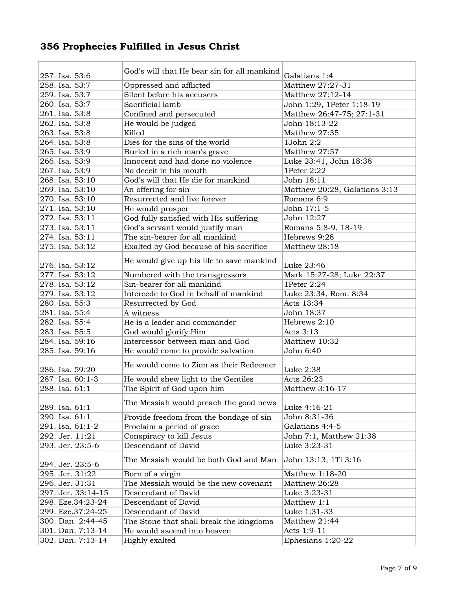|                    | God's will that He bear sin for all mankind |                                   |
|--------------------|---------------------------------------------|-----------------------------------|
| 257. Isa. 53:6     |                                             | Galatians 1:4<br>Matthew 27:27-31 |
| 258. Isa. 53:7     | Oppressed and afflicted                     |                                   |
| 259. Isa. 53:7     | Silent before his accusers                  | Matthew 27:12-14                  |
| 260. Isa. 53:7     | Sacrificial lamb                            | John 1:29, 1Peter 1:18-19         |
| 261. Isa. 53:8     | Confined and persecuted                     | Matthew 26:47-75; 27:1-31         |
| 262. Isa. 53:8     | He would be judged                          | John 18:13-22                     |
| 263. Isa. 53:8     | Killed                                      | Matthew 27:35                     |
| 264. Isa. 53:8     | Dies for the sins of the world              | 1John 2:2                         |
| 265. Isa. 53:9     | Buried in a rich man's grave                | Matthew 27:57                     |
| 266. Isa. 53:9     | Innocent and had done no violence           | Luke 23:41, John 18:38            |
| 267. Isa. 53:9     | No deceit in his mouth                      | 1Peter 2:22                       |
| 268. Isa. 53:10    | God's will that He die for mankind          | John 18:11                        |
| 269. Isa. 53:10    | An offering for sin                         | Matthew 20:28, Galatians 3:13     |
| 270. Isa. 53:10    | Resurrected and live forever                | Romans 6:9                        |
| 271. Isa. 53:10    | He would prosper                            | John 17:1-5                       |
| 272. Isa. 53:11    | God fully satisfied with His suffering      | John 12:27                        |
| 273. Isa. 53:11    | God's servant would justify man             | Romans 5:8-9, 18-19               |
| 274. Isa. 53:11    | The sin-bearer for all mankind              | Hebrews 9:28                      |
| 275. Isa. 53:12    | Exalted by God because of his sacrifice     | Matthew 28:18                     |
|                    | He would give up his life to save mankind   |                                   |
| 276. Isa. 53:12    |                                             | Luke 23:46                        |
| 277. Isa. 53:12    | Numbered with the transgressors             | Mark 15:27-28; Luke 22:37         |
| 278. Isa. 53:12    | Sin-bearer for all mankind                  | 1Peter 2:24                       |
| 279. Isa. 53:12    | Intercede to God in behalf of mankind       | Luke 23:34, Rom. 8:34             |
| 280. Isa. 55:3     | Resurrected by God                          | Acts 13:34                        |
| 281. Isa. 55:4     | A witness                                   | John 18:37                        |
| 282. Isa. 55:4     | He is a leader and commander                | Hebrews 2:10                      |
| 283. Isa. 55:5     | God would glorify Him                       | Acts 3:13                         |
| 284. Isa. 59:16    | Intercessor between man and God             | Matthew 10:32                     |
| 285. Isa. 59:16    | He would come to provide salvation          | John 6:40                         |
|                    | He would come to Zion as their Redeemer     |                                   |
| 286. Isa. 59:20    |                                             | Luke 2:38                         |
| 287. Isa. 60:1-3   | He would shew light to the Gentiles         | Acts 26:23                        |
| 288. Isa. 61:1     | The Spirit of God upon him                  | Matthew 3:16-17                   |
| 289. Isa. 61:1     | The Messiah would preach the good news      | Luke 4:16-21                      |
| 290. Isa. 61:1     | Provide freedom from the bondage of sin     | John 8:31-36                      |
| 291. Isa. 61:1-2   | Proclaim a period of grace                  | Galatians 4:4-5                   |
| 292. Jer. 11:21    | Conspiracy to kill Jesus                    | John 7:1, Matthew 21:38           |
| 293. Jer. 23:5-6   | Descendant of David                         | Luke 3:23-31                      |
|                    |                                             |                                   |
| 294. Jer. 23:5-6   | The Messiah would be both God and Man       | John 13:13, 1Ti 3:16              |
| 295. Jer. 31:22    | Born of a virgin                            | Matthew 1:18-20                   |
| 296. Jer. 31:31    | The Messiah would be the new covenant       | Matthew 26:28                     |
| 297. Jer. 33:14-15 | Descendant of David                         | Luke 3:23-31                      |
| 298. Eze.34:23-24  | Descendant of David                         | Matthew 1:1                       |
| 299. Eze.37:24-25  | Descendant of David                         | Luke 1:31-33                      |
| 300. Dan. 2:44-45  | The Stone that shall break the kingdoms     | Matthew 21:44                     |
| 301. Dan. 7:13-14  | He would ascend into heaven                 | Acts 1:9-11                       |
| 302. Dan. 7:13-14  | Highly exalted                              | Ephesians 1:20-22                 |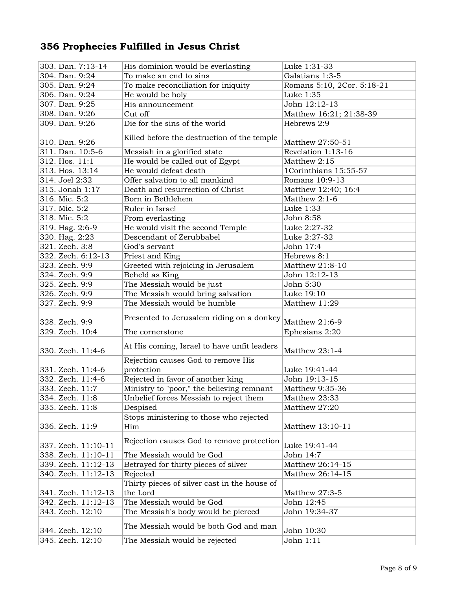| 303. Dan. 7:13-14   | His dominion would be everlasting                        | Luke 1:31-33               |
|---------------------|----------------------------------------------------------|----------------------------|
| 304. Dan. 9:24      | To make an end to sins                                   | Galatians 1:3-5            |
| 305. Dan. 9:24      | To make reconciliation for iniquity                      | Romans 5:10, 2Cor. 5:18-21 |
| 306. Dan. 9:24      | He would be holy                                         | Luke 1:35                  |
| 307. Dan. 9:25      | His announcement                                         | John 12:12-13              |
| 308. Dan. 9:26      | Cut off                                                  | Matthew 16:21; 21:38-39    |
| 309. Dan. 9:26      | Die for the sins of the world                            | Hebrews 2:9                |
|                     |                                                          |                            |
| 310. Dan. 9:26      | Killed before the destruction of the temple              | Matthew 27:50-51           |
| 311. Dan. 10:5-6    | Messiah in a glorified state                             | Revelation 1:13-16         |
| 312. Hos. 11:1      | He would be called out of Egypt                          | Matthew 2:15               |
| 313. Hos. 13:14     | He would defeat death                                    | 1Corinthians 15:55-57      |
| 314. Joel 2:32      | Offer salvation to all mankind                           | Romans 10:9-13             |
| 315. Jonah 1:17     | Death and resurrection of Christ                         | Matthew 12:40; 16:4        |
| 316. Mic. 5:2       | Born in Bethlehem                                        | Matthew 2:1-6              |
| 317. Mic. 5:2       | Ruler in Israel                                          | Luke 1:33                  |
| 318. Mic. 5:2       | From everlasting                                         | John 8:58                  |
| 319. Hag. 2:6-9     | He would visit the second Temple                         | Luke 2:27-32               |
| 320. Hag. 2:23      | Descendant of Zerubbabel                                 | Luke 2:27-32               |
| 321. Zech. 3:8      | God's servant                                            | John 17:4                  |
| 322. Zech. 6:12-13  | Priest and King                                          | Hebrews 8:1                |
| 323. Zech. 9:9      | Greeted with rejoicing in Jerusalem                      | Matthew 21:8-10            |
| 324. Zech. 9:9      | Beheld as King                                           | John 12:12-13              |
| 325. Zech. 9:9      | The Messiah would be just                                | John 5:30                  |
| 326. Zech. 9:9      | The Messiah would bring salvation                        | Luke 19:10                 |
| 327. Zech. 9:9      | The Messiah would be humble                              | Matthew 11:29              |
| 328. Zech. 9:9      | Presented to Jerusalem riding on a donkey                | Matthew 21:6-9             |
| 329. Zech. 10:4     | The cornerstone                                          | Ephesians 2:20             |
| 330. Zech. 11:4-6   | At His coming, Israel to have unfit leaders              | Matthew 23:1-4             |
| 331. Zech. 11:4-6   | Rejection causes God to remove His<br>protection         | Luke 19:41-44              |
| 332. Zech. 11:4-6   | Rejected in favor of another king                        | John 19:13-15              |
| 333. Zech. 11:7     | Ministry to "poor," the believing remnant                | Matthew 9:35-36            |
| 334. Zech. 11:8     | Unbelief forces Messiah to reject them                   | Matthew 23:33              |
| 335. Zech. 11:8     | Despised                                                 | Matthew 27:20              |
|                     | Stops ministering to those who rejected                  |                            |
| 336. Zech. 11:9     | Him                                                      | Matthew 13:10-11           |
|                     |                                                          |                            |
| 337. Zech. 11:10-11 | Rejection causes God to remove protection                | Luke 19:41-44              |
| 338. Zech. 11:10-11 | The Messiah would be God                                 | John 14:7                  |
| 339. Zech. 11:12-13 | Betrayed for thirty pieces of silver                     | Matthew 26:14-15           |
| 340. Zech. 11:12-13 | Rejected                                                 | Matthew 26:14-15           |
| 341. Zech. 11:12-13 | Thirty pieces of silver cast in the house of<br>the Lord | Matthew 27:3-5             |
| 342. Zech. 11:12-13 | The Messiah would be God                                 | John 12:45                 |
| 343. Zech. 12:10    | The Messiah's body would be pierced                      | John 19:34-37              |
| 344. Zech. 12:10    | The Messiah would be both God and man                    | John 10:30                 |
| 345. Zech. 12:10    | The Messiah would be rejected                            | John 1:11                  |